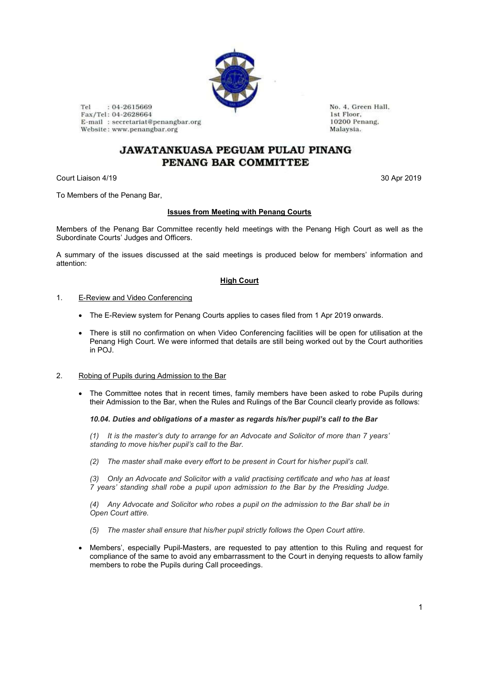

Tel  $: 04 - 2615669$ Fax/Tel: 04-2628664 E-mail: secretariat@penangbar.org Website: www.penangbar.org

No. 4. Green Hall. 1st Floor. 10200 Penang. Malaysia.

# JAWATANKUASA PEGUAM PULAU PINANG PENANG BAR COMMITTEE

Court Liaison 4/19 30 Apr 2019

To Members of the Penang Bar,

## **Issues from Meeting with Penang Courts**

Members of the Penang Bar Committee recently held meetings with the Penang High Court as well as the Subordinate Courts' Judges and Officers.

A summary of the issues discussed at the said meetings is produced below for members' information and attention:

## **High Court**

#### 1. E-Review and Video Conferencing

- The E-Review system for Penang Courts applies to cases filed from 1 Apr 2019 onwards.
- There is still no confirmation on when Video Conferencing facilities will be open for utilisation at the Penang High Court. We were informed that details are still being worked out by the Court authorities in POJ.
- 2. Robing of Pupils during Admission to the Bar
	- The Committee notes that in recent times, family members have been asked to robe Pupils during their Admission to the Bar, when the Rules and Rulings of the Bar Council clearly provide as follows:

## *10.04. Duties and obligations of a master as regards his/her pupil's call to the Bar*

*(1) It is the master's duty to arrange for an Advocate and Solicitor of more than 7 years' standing to move his/her pupil's call to the Bar.*

*(2) The master shall make every effort to be present in Court for his/her pupil's call.*

*(3) Only an Advocate and Solicitor with a valid practising certificate and who has at least 7 years' standing shall robe a pupil upon admission to the Bar by the Presiding Judge.*

*(4) Any Advocate and Solicitor who robes a pupil on the admission to the Bar shall be in Open Court attire.*

- *(5) The master shall ensure that his/her pupil strictly follows the Open Court attire.*
- Members', especially Pupil-Masters, are requested to pay attention to this Ruling and request for compliance of the same to avoid any embarrassment to the Court in denying requests to allow family members to robe the Pupils during Call proceedings.